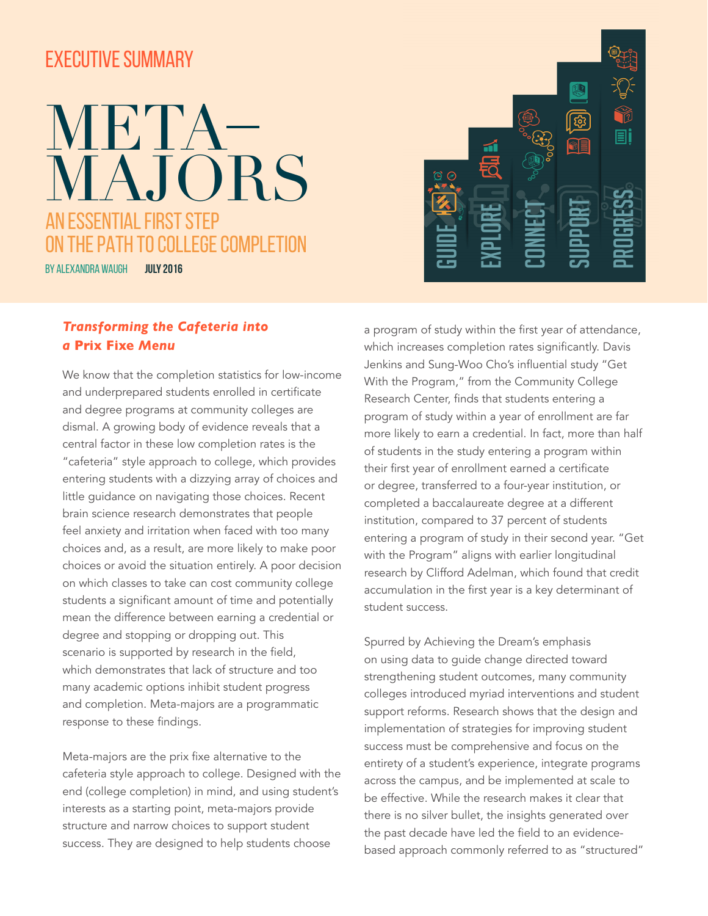## EXECUTIVE SUMMARY

## **JULY 2016** AN ESSENTIAL FIRST STEP THE PATH TO COLLEGE COMPLETION BY ALEXANDRA WAUGH META–<br>MAJORS

## *Transforming the Cafeteria into a* **Prix Fixe** *Menu*

We know that the completion statistics for low-income and underprepared students enrolled in certificate and degree programs at community colleges are dismal. A growing body of evidence reveals that a central factor in these low completion rates is the "cafeteria" style approach to college, which provides entering students with a dizzying array of choices and little guidance on navigating those choices. Recent brain science research demonstrates that people feel anxiety and irritation when faced with too many choices and, as a result, are more likely to make poor choices or avoid the situation entirely. A poor decision on which classes to take can cost community college students a significant amount of time and potentially mean the difference between earning a credential or degree and stopping or dropping out. This scenario is supported by research in the field, which demonstrates that lack of structure and too many academic options inhibit student progress and completion. Meta-majors are a programmatic response to these findings.

Meta-majors are the prix fixe alternative to the cafeteria style approach to college. Designed with the end (college completion) in mind, and using student's interests as a starting point, meta-majors provide structure and narrow choices to support student success. They are designed to help students choose



a program of study within the first year of attendance, which increases completion rates significantly. Davis Jenkins and Sung-Woo Cho's influential study "Get With the Program," from the Community College Research Center, finds that students entering a program of study within a year of enrollment are far more likely to earn a credential. In fact, more than half of students in the study entering a program within their first year of enrollment earned a certificate or degree, transferred to a four-year institution, or completed a baccalaureate degree at a different institution, compared to 37 percent of students entering a program of study in their second year. "Get with the Program" aligns with earlier longitudinal research by Clifford Adelman, which found that credit accumulation in the first year is a key determinant of student success.

Spurred by Achieving the Dream's emphasis on using data to guide change directed toward strengthening student outcomes, many community colleges introduced myriad interventions and student support reforms. Research shows that the design and implementation of strategies for improving student success must be comprehensive and focus on the entirety of a student's experience, integrate programs across the campus, and be implemented at scale to be effective. While the research makes it clear that there is no silver bullet, the insights generated over the past decade have led the field to an evidencebased approach commonly referred to as "structured"